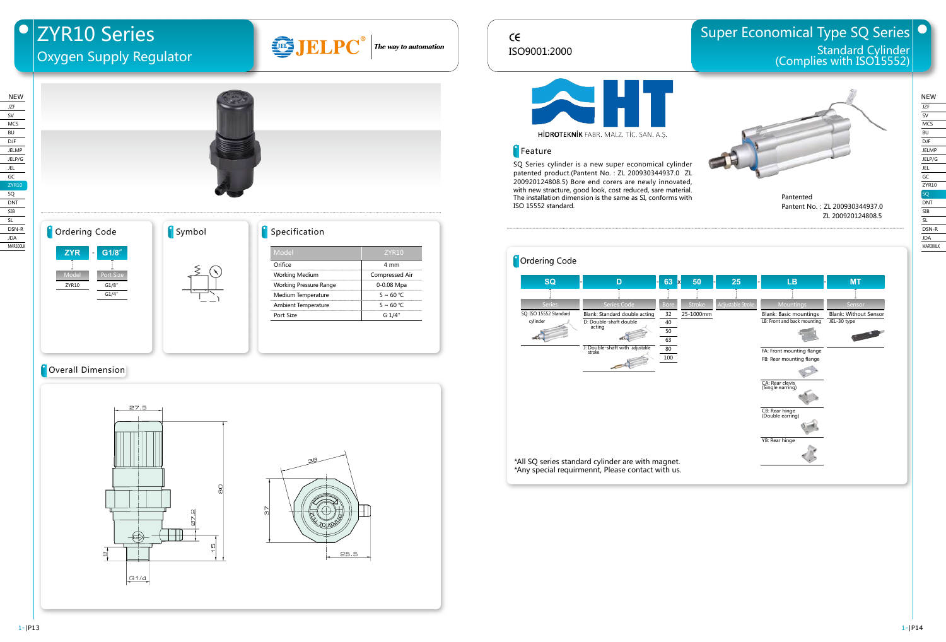## $C \in$ ISO9001:2000

# Super Economical Type SQ Series Standard Cylinder (Complies with ISO15552)



HIDROTEKNIK FABR. MALZ. TİC. SAN. A.Ş.

#### **Feature**

SQ Series cylinder is a new super economical cylinder patented product.(Pantent No.: ZL 200930344937.0 ZL 200920124808.5) Bore end corers are newly innovated, with new stracture, good look, cost reduced, sare material. The installation dimension is the same as SI, conforms with ISO 15552 standard.



Pantented Pantent No.: ZL 200930344937.0 ZL 200920124808.5